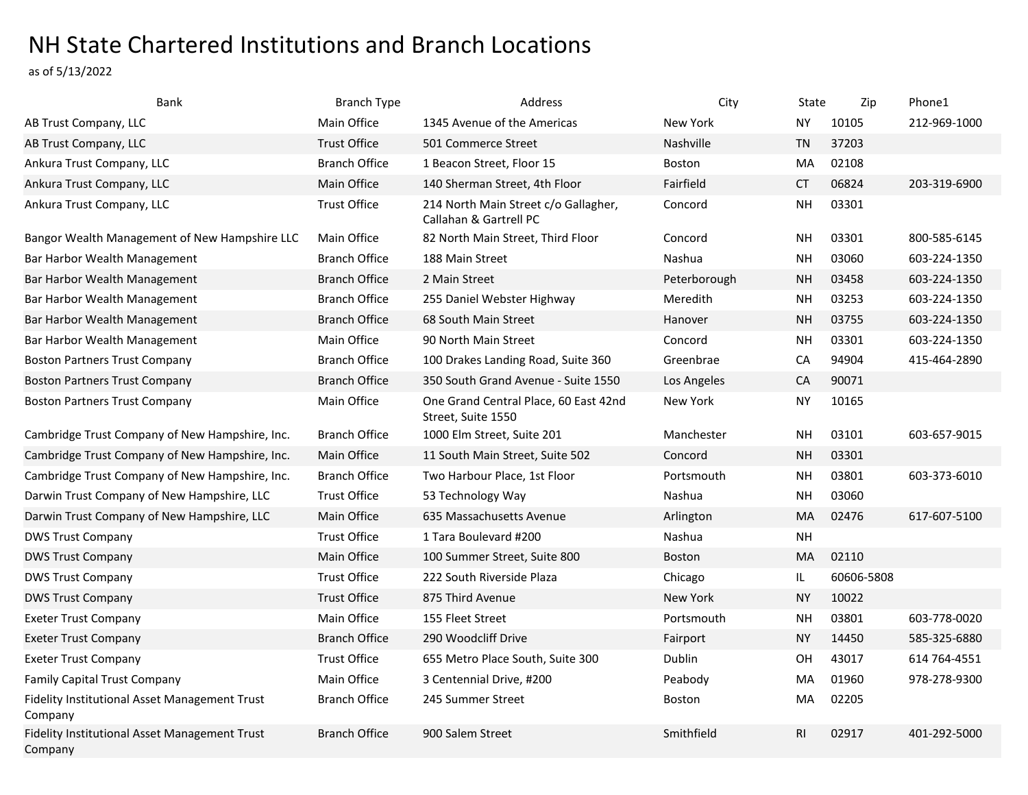## NH State Chartered Institutions and Branch Locations

as of 5/13/2022

| Bank                                                     | <b>Branch Type</b>   | Address                                                        | City             | State          | Zip        | Phone1       |
|----------------------------------------------------------|----------------------|----------------------------------------------------------------|------------------|----------------|------------|--------------|
| AB Trust Company, LLC                                    | Main Office          | 1345 Avenue of the Americas                                    | New York         | ΝY             | 10105      | 212-969-1000 |
| AB Trust Company, LLC                                    | <b>Trust Office</b>  | 501 Commerce Street                                            | <b>Nashville</b> | TN             | 37203      |              |
| Ankura Trust Company, LLC                                | <b>Branch Office</b> | 1 Beacon Street, Floor 15                                      | <b>Boston</b>    | MA             | 02108      |              |
| Ankura Trust Company, LLC                                | Main Office          | 140 Sherman Street, 4th Floor                                  | Fairfield        | <b>CT</b>      | 06824      | 203-319-6900 |
| Ankura Trust Company, LLC                                | <b>Trust Office</b>  | 214 North Main Street c/o Gallagher,<br>Callahan & Gartrell PC | Concord          | <b>NH</b>      | 03301      |              |
| Bangor Wealth Management of New Hampshire LLC            | Main Office          | 82 North Main Street, Third Floor                              | Concord          | NΗ             | 03301      | 800-585-6145 |
| Bar Harbor Wealth Management                             | <b>Branch Office</b> | 188 Main Street                                                | Nashua           | <b>NH</b>      | 03060      | 603-224-1350 |
| Bar Harbor Wealth Management                             | <b>Branch Office</b> | 2 Main Street                                                  | Peterborough     | <b>NH</b>      | 03458      | 603-224-1350 |
| Bar Harbor Wealth Management                             | <b>Branch Office</b> | 255 Daniel Webster Highway                                     | Meredith         | <b>NH</b>      | 03253      | 603-224-1350 |
| Bar Harbor Wealth Management                             | <b>Branch Office</b> | 68 South Main Street                                           | Hanover          | <b>NH</b>      | 03755      | 603-224-1350 |
| Bar Harbor Wealth Management                             | Main Office          | 90 North Main Street                                           | Concord          | <b>NH</b>      | 03301      | 603-224-1350 |
| <b>Boston Partners Trust Company</b>                     | <b>Branch Office</b> | 100 Drakes Landing Road, Suite 360                             | Greenbrae        | CA             | 94904      | 415-464-2890 |
| <b>Boston Partners Trust Company</b>                     | <b>Branch Office</b> | 350 South Grand Avenue - Suite 1550                            | Los Angeles      | CA             | 90071      |              |
| <b>Boston Partners Trust Company</b>                     | Main Office          | One Grand Central Place, 60 East 42nd<br>Street, Suite 1550    | New York         | <b>NY</b>      | 10165      |              |
| Cambridge Trust Company of New Hampshire, Inc.           | <b>Branch Office</b> | 1000 Elm Street, Suite 201                                     | Manchester       | <b>NH</b>      | 03101      | 603-657-9015 |
| Cambridge Trust Company of New Hampshire, Inc.           | Main Office          | 11 South Main Street, Suite 502                                | Concord          | <b>NH</b>      | 03301      |              |
| Cambridge Trust Company of New Hampshire, Inc.           | <b>Branch Office</b> | Two Harbour Place, 1st Floor                                   | Portsmouth       | <b>NH</b>      | 03801      | 603-373-6010 |
| Darwin Trust Company of New Hampshire, LLC               | <b>Trust Office</b>  | 53 Technology Way                                              | Nashua           | <b>NH</b>      | 03060      |              |
| Darwin Trust Company of New Hampshire, LLC               | Main Office          | 635 Massachusetts Avenue                                       | Arlington        | <b>MA</b>      | 02476      | 617-607-5100 |
| <b>DWS Trust Company</b>                                 | <b>Trust Office</b>  | 1 Tara Boulevard #200                                          | Nashua           | <b>NH</b>      |            |              |
| <b>DWS Trust Company</b>                                 | Main Office          | 100 Summer Street, Suite 800                                   | <b>Boston</b>    | <b>MA</b>      | 02110      |              |
| <b>DWS Trust Company</b>                                 | <b>Trust Office</b>  | 222 South Riverside Plaza                                      | Chicago          | IL             | 60606-5808 |              |
| <b>DWS Trust Company</b>                                 | <b>Trust Office</b>  | 875 Third Avenue                                               | New York         | NY.            | 10022      |              |
| <b>Exeter Trust Company</b>                              | Main Office          | 155 Fleet Street                                               | Portsmouth       | <b>NH</b>      | 03801      | 603-778-0020 |
| <b>Exeter Trust Company</b>                              | <b>Branch Office</b> | 290 Woodcliff Drive                                            | Fairport         | <b>NY</b>      | 14450      | 585-325-6880 |
| <b>Exeter Trust Company</b>                              | <b>Trust Office</b>  | 655 Metro Place South, Suite 300                               | Dublin           | <b>OH</b>      | 43017      | 614 764-4551 |
| <b>Family Capital Trust Company</b>                      | Main Office          | 3 Centennial Drive, #200                                       | Peabody          | MA             | 01960      | 978-278-9300 |
| Fidelity Institutional Asset Management Trust<br>Company | <b>Branch Office</b> | 245 Summer Street                                              | <b>Boston</b>    | MA             | 02205      |              |
| Fidelity Institutional Asset Management Trust<br>Company | <b>Branch Office</b> | 900 Salem Street                                               | Smithfield       | R <sub>1</sub> | 02917      | 401-292-5000 |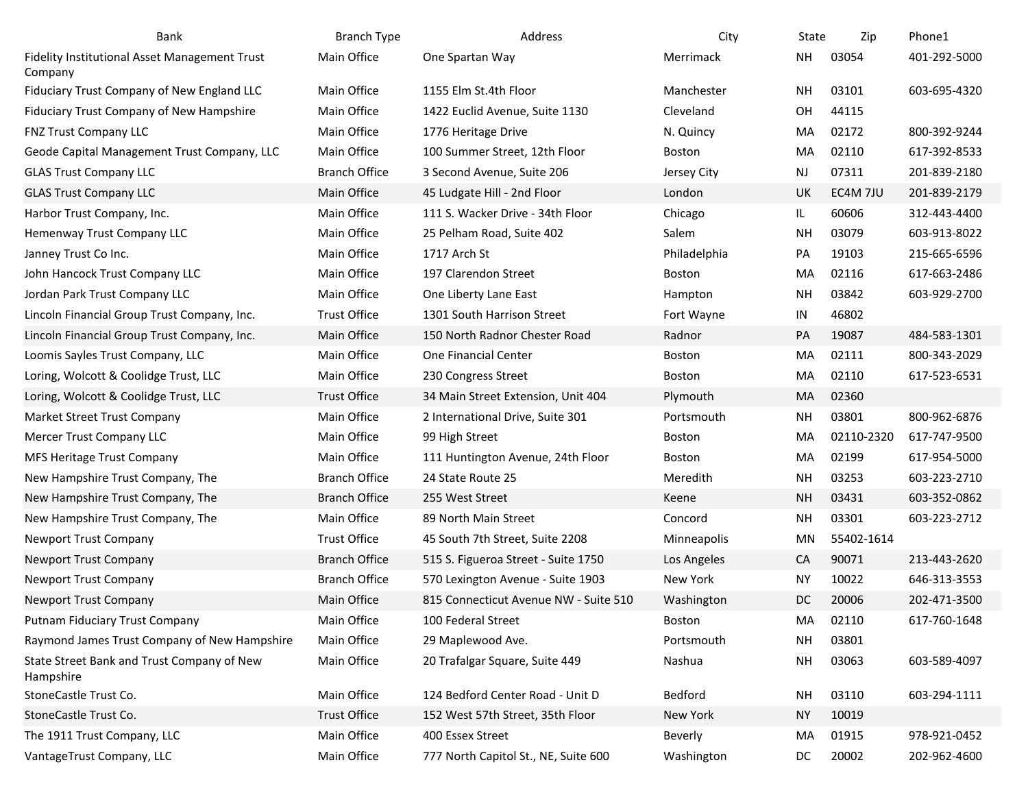| Bank                                                     | <b>Branch Type</b>   | Address                               | City          | State     | Zip        | Phone1       |
|----------------------------------------------------------|----------------------|---------------------------------------|---------------|-----------|------------|--------------|
| Fidelity Institutional Asset Management Trust<br>Company | Main Office          | One Spartan Way                       | Merrimack     | NΗ        | 03054      | 401-292-5000 |
| Fiduciary Trust Company of New England LLC               | Main Office          | 1155 Elm St.4th Floor                 | Manchester    | <b>NH</b> | 03101      | 603-695-4320 |
| Fiduciary Trust Company of New Hampshire                 | Main Office          | 1422 Euclid Avenue, Suite 1130        | Cleveland     | OH        | 44115      |              |
| FNZ Trust Company LLC                                    | Main Office          | 1776 Heritage Drive                   | N. Quincy     | MA        | 02172      | 800-392-9244 |
| Geode Capital Management Trust Company, LLC              | Main Office          | 100 Summer Street, 12th Floor         | <b>Boston</b> | MA        | 02110      | 617-392-8533 |
| <b>GLAS Trust Company LLC</b>                            | <b>Branch Office</b> | 3 Second Avenue, Suite 206            | Jersey City   | NJ        | 07311      | 201-839-2180 |
| <b>GLAS Trust Company LLC</b>                            | Main Office          | 45 Ludgate Hill - 2nd Floor           | London        | UK        | EC4M 7JU   | 201-839-2179 |
| Harbor Trust Company, Inc.                               | Main Office          | 111 S. Wacker Drive - 34th Floor      | Chicago       | IL.       | 60606      | 312-443-4400 |
| Hemenway Trust Company LLC                               | Main Office          | 25 Pelham Road, Suite 402             | Salem         | NΗ        | 03079      | 603-913-8022 |
| Janney Trust Co Inc.                                     | Main Office          | 1717 Arch St                          | Philadelphia  | PA        | 19103      | 215-665-6596 |
| John Hancock Trust Company LLC                           | Main Office          | 197 Clarendon Street                  | <b>Boston</b> | MA        | 02116      | 617-663-2486 |
| Jordan Park Trust Company LLC                            | Main Office          | One Liberty Lane East                 | Hampton       | NΗ        | 03842      | 603-929-2700 |
| Lincoln Financial Group Trust Company, Inc.              | <b>Trust Office</b>  | 1301 South Harrison Street            | Fort Wayne    | IN        | 46802      |              |
| Lincoln Financial Group Trust Company, Inc.              | Main Office          | 150 North Radnor Chester Road         | Radnor        | PA        | 19087      | 484-583-1301 |
| Loomis Sayles Trust Company, LLC                         | Main Office          | One Financial Center                  | <b>Boston</b> | MA        | 02111      | 800-343-2029 |
| Loring, Wolcott & Coolidge Trust, LLC                    | Main Office          | 230 Congress Street                   | <b>Boston</b> | MA        | 02110      | 617-523-6531 |
| Loring, Wolcott & Coolidge Trust, LLC                    | <b>Trust Office</b>  | 34 Main Street Extension, Unit 404    | Plymouth      | MA        | 02360      |              |
| Market Street Trust Company                              | Main Office          | 2 International Drive, Suite 301      | Portsmouth    | <b>NH</b> | 03801      | 800-962-6876 |
| Mercer Trust Company LLC                                 | Main Office          | 99 High Street                        | <b>Boston</b> | MA        | 02110-2320 | 617-747-9500 |
| MFS Heritage Trust Company                               | Main Office          | 111 Huntington Avenue, 24th Floor     | <b>Boston</b> | MA        | 02199      | 617-954-5000 |
| New Hampshire Trust Company, The                         | <b>Branch Office</b> | 24 State Route 25                     | Meredith      | <b>NH</b> | 03253      | 603-223-2710 |
| New Hampshire Trust Company, The                         | <b>Branch Office</b> | 255 West Street                       | Keene         | <b>NH</b> | 03431      | 603-352-0862 |
| New Hampshire Trust Company, The                         | Main Office          | 89 North Main Street                  | Concord       | <b>NH</b> | 03301      | 603-223-2712 |
| <b>Newport Trust Company</b>                             | <b>Trust Office</b>  | 45 South 7th Street, Suite 2208       | Minneapolis   | MN        | 55402-1614 |              |
| <b>Newport Trust Company</b>                             | <b>Branch Office</b> | 515 S. Figueroa Street - Suite 1750   | Los Angeles   | CA        | 90071      | 213-443-2620 |
| Newport Trust Company                                    | <b>Branch Office</b> | 570 Lexington Avenue - Suite 1903     | New York      | <b>NY</b> | 10022      | 646-313-3553 |
| <b>Newport Trust Company</b>                             | Main Office          | 815 Connecticut Avenue NW - Suite 510 | Washington    | DC        | 20006      | 202-471-3500 |
| <b>Putnam Fiduciary Trust Company</b>                    | Main Office          | 100 Federal Street                    | Boston        | MA        | 02110      | 617-760-1648 |
| Raymond James Trust Company of New Hampshire             | Main Office          | 29 Maplewood Ave.                     | Portsmouth    | <b>NH</b> | 03801      |              |
| State Street Bank and Trust Company of New<br>Hampshire  | Main Office          | 20 Trafalgar Square, Suite 449        | Nashua        | NΗ        | 03063      | 603-589-4097 |
| StoneCastle Trust Co.                                    | Main Office          | 124 Bedford Center Road - Unit D      | Bedford       | NH        | 03110      | 603-294-1111 |
| StoneCastle Trust Co.                                    | <b>Trust Office</b>  | 152 West 57th Street, 35th Floor      | New York      | <b>NY</b> | 10019      |              |
| The 1911 Trust Company, LLC                              | Main Office          | 400 Essex Street                      | Beverly       | MA        | 01915      | 978-921-0452 |
| VantageTrust Company, LLC                                | Main Office          | 777 North Capitol St., NE, Suite 600  | Washington    | DC        | 20002      | 202-962-4600 |